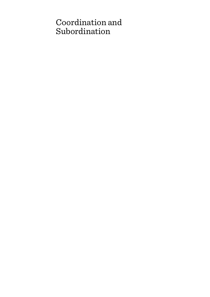# Coordination and Subordination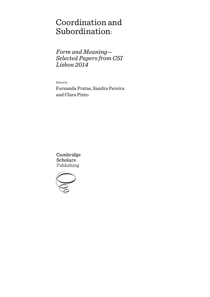# Coordination and Subordination:

*Form and Meaning— Selected Papers from CSI Lisbon 2014*

Edited by

Fernanda Pratas, Sandra Pereira and Clara Pinto

Cambridge **Scholars** Publishing

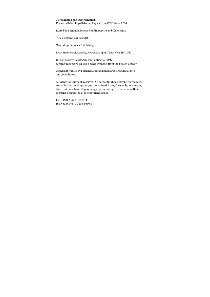Coordination and Subordination: Form and Meaning—Selected Papers from CSI Lisbon 2014

Edited by Fernanda Pratas, Sandra Pereira and Clara Pinto

This book first published 2016

Cambridge Scholars Publishing

Lady Stephenson Library, Newcastle upon Tyne, NE6 2PA, UK

British Library Cataloguing in Publication Data A catalogue record for this book is available from the British Library

Copyright © 2016 by Fernanda Pratas, Sandra Pereira, Clara Pinto and contributors

All rights for this book reserved. No part of this book may be reproduced, stored in a retrieval system, or transmitted, in any form or by any means, electronic, mechanical, photocopying, recording or otherwise, without the prior permission of the copyright owner.

ISBN (10): 1-4438-8950-4 ISBN (13): 978-1-4438-8950-6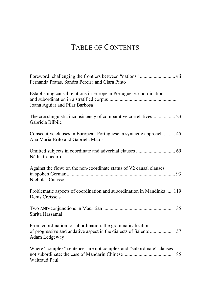# TABLE OF CONTENTS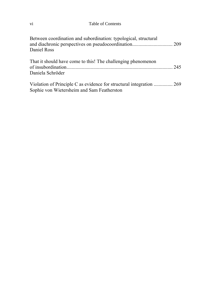### vi Table of Contents

| Between coordination and subordination: typological, structural<br>Daniel Ross                                     |  |
|--------------------------------------------------------------------------------------------------------------------|--|
| That it should have come to this! The challenging phenomenon<br>Daniela Schröder                                   |  |
| Violation of Principle C as evidence for structural integration  269<br>Sophie von Wietersheim and Sam Featherston |  |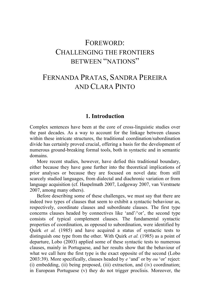# FOREWORD: CHALLENGING THE FRONTIERS BETWEEN "NATIONS"

# FERNANDA PRATAS, SANDRA PEREIRA AND CLARA PINTO

#### **1. Introduction**

Complex sentences have been at the core of cross-linguistic studies over the past decades. As a way to account for the linkage between clauses within these intricate structures, the traditional coordination/subordination divide has certainly proved crucial, offering a basis for the development of numerous ground-breaking formal tools, both in syntactic and in semantic domains.

More recent studies, however, have defied this traditional boundary, either because they have gone further into the theoretical implications of prior analyses or because they are focused on novel data: from still scarcely studied languages, from dialectal and diachronic variation or from language acquisition (cf. Haspelmath 2007, Ledgeway 2007, van Verstraete 2007, among many others).

Before describing some of these challenges, we must say that there are indeed two types of clauses that seem to exhibit a syntactic behaviour as, respectively, coordinate clauses and subordinate clauses. The first type concerns clauses headed by connectives like 'and'/'or', the second type consists of typical complement clauses. The fundamental syntactic properties of coordination, as opposed to subordination, were identified by Quirk *et al.* (1985) and have acquired a status of syntactic tests to distinguish one type from the other. With Quirk *et al.* (1985) as a point of departure, Lobo (2003) applied some of these syntactic tests to numerous clauses, mainly in Portuguese, and her results show that the behaviour of what we call here the first type is the exact opposite of the second (Lobo 2003:39). More specifically, clauses headed by *e* 'and' or by *ou* 'or' reject: (i) embedding, (ii) being preposed, (iii) extraction, and (iv) coordination; in European Portuguese (v) they do not trigger proclisis. Moreover, the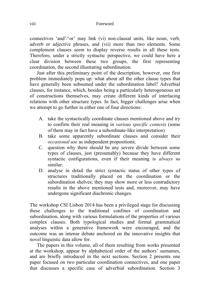connectives 'and'/'or' may link (vi) non-clausal units, like noun, verb, adverb or adjective phrases, and (vii) more than two elements. Some complement clauses seem to display reverse results in all these tests. Therefore, under a strictly syntactic perspective, we could have here a clear division between these two groups, the first representing coordination, the second illustrating subordination.

Just after this preliminary point of the description, however, one first problem immediately pops up: what about all the other clause types that have generally been subsumed under the subordination label? Adverbial clauses, for instance, which, besides being a particularly heterogeneous set of constructions themselves, may create different kinds of interlacing relations with other structure types. In fact, bigger challenges arise when we attempt to go further in either one of four directions:

- A. take the syntactically coordinate clauses mentioned above and try to confirm their real meaning in *various specific contexts* (some of them may in fact have a subordinate-like interpretation)
- B. take some apparently subordinate clauses and consider their *occasional use* as independent propositions;
- C. question why there should be any severe divide between some types of clauses, just (presumably) because they have different syntactic configurations, even if their meaning is *always* so similar;
- D. analyse in detail the strict syntactic status of other types of structures traditionally placed on the coordination or the subordination shelves; they may show more or less contradictory results in the above mentioned tests and, moreover, may have undergone significant diachronic changes.

The workshop CSI Lisbon 2014 has been a privileged stage for discussing these challenges to the traditional confines of coordination and subordination, along with various formulations of the properties of various complex clauses. Both typological studies and formal grammatical analyses within a generative framework were encouraged, and the outcome was an intense debate anchored on the innovative insights that novel linguistic data allow for.

The papers in this volume, all of them resulting from works presented at the workshop, appear by alphabetical order of the authors' surnames, and are briefly introduced in the next sections. Section 2 presents one paper focused on two particular coordination connectives, and one paper that discusses a specific case of adverbial subordination. Section 3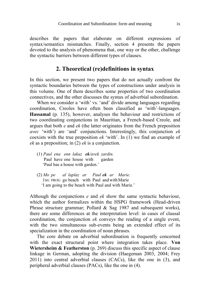describes the papers that elaborate on different expressions of syntax/semantics mismatches. Finally, section 4 presents the papers devoted to the analysis of phenomena that, one way or the other, challenge the syntactic barriers between different types of clauses.

# **2. Theoretical (re)definitions in syntax**

In this section, we present two papers that do not actually confront the syntactic boundaries between the types of constructions under analysis in this volume. One of them describes some properties of two coordination connectives, and the other discusses the syntax of adverbial subordination.

When we consider a 'with' vs. 'and' divide among languages regarding coordination, Creoles have often been classified as 'with'-languages. **Hassamal** (p. 135), however, analyses the behaviour and restrictions of two coordinating conjunctions in Mauritian, a French-based Creole, and argues that both *e* and *ek* (the latter originates from the French preposition *avec* 'with') are 'and' conjunctions. Interestingly, this conjunction *ek* coexists with the true preposition *ek* 'with'. In (1) we find an example of *ek* as a preposition; in (2) *ek* is a conjunction.

- (1) *Paul ena enn lakaz ek/avek zardin.* Paul have one house with garden 'Paul has a house with garden.'
- (2) *Mo pe al laplaz ar Paul ek ar Marie.* 1SG PROG go beach with Paul andwithMarie 'I am going to the beach with Paul and with Marie.'

Although the conjunctions *e* and *ek* show the same syntactic behaviour, which the author formalizes within the HSPG framework (Head-driven Phrase structure grammar; Pollard & Sag 1987 and subsequent works), there are some differences at the interpretation level: in cases of clausal coordination, the conjunction *ek* conveys the reading of a single event, with the two simultaneous sub-events being an extended effect of its specialization in the coordination of noun phrases.

The core debate on adverbial subordination is frequently concerned with the exact structural point where integration takes place. **Von Wietersheim & Featherston** (p. 269) discuss this specific aspect of clause linkage in German, adopting the division (Haegeman 2003, 2004; Frey 2011) into central adverbial clauses (CACs), like the one in (3), and peripheral adverbial clauses (PACs), like the one in (4).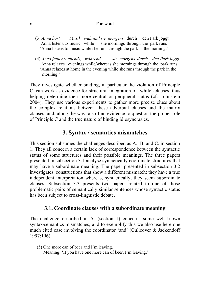#### x Foreword

- (3) *Anna hört Musik, während sie morgens* durch den Park joggt. Anna listens.to music while she mornings through the park runs 'Anna listens to music while she runs through the park in the morning.'
- (4) *Anna faulenzt abends, während sie morgens durch den Park joggt.* Anna relaxes evenings while/whereas she mornings through the park runs 'Anna relaxes at home in the evening while she runs through the park in the morning.'

They investigate whether binding, in particular the violation of Principle C, can work as evidence for structural integration of 'while'-clauses, thus helping determine their more central or peripheral status (cf. Lohnstein 2004). They use various experiments to gather more precise clues about the complex relations between these adverbial clauses and the matrix clauses, and, along the way, also find evidence to question the proper role of Principle C and the true nature of binding idiosyncrasies.

# **3. Syntax / semantics mismatches**

This section subsumes the challenges described as A., B. and C. in section 1. They all concern a certain lack of correspondence between the syntactic status of some structures and their possible meanings. The three papers presented in subsection 3.1 analyse syntactically coordinate structures that may have a subordinate meaning. The paper presented in subsection 3.2 investigates constructions that show a different mismatch: they have a true independent interpretation whereas, syntactically, they seem subordinate clauses. Subsection 3.3 presents two papers related to one of those problematic pairs of semantically similar sentences whose syntactic status has been subject to cross-linguistic debate.

#### **3.1. Coordinate clauses with a subordinate meaning**

The challenge described in A. (section 1) concerns some well-known syntax/semantics mismatches, and to exemplify this we also use here one much cited case involving the coordinator 'and' (Culicover & Jackendoff 1997:196):

(5) One more can of beer and I'm leaving. Meaning: 'If you have one more can of beer, I'm leaving.'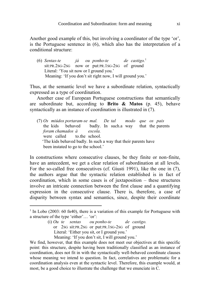Another good example of this, but involving a coordinator of the type 'or', is the Portuguese sentence in (6), which also has the interpretation of a conditional structure:

(6) *Sentas-te já ou ponho-te de castigo.*<sup>1</sup> sit:PR.2SG-2SG now or put:PR.1SG-2SG of ground Literal: 'You sit now or I ground you.' Meaning: 'If you don't sit right now, I will ground you.'

Thus, at the semantic level we have a subordinate relation, syntactically expressed as a type of coordination.

Another case of European Portuguese constructions that semantically are subordinate but, according to **Brito & Matos** (p. 45), behave syntactically as an instance of coordination is illustrated in (7).

(7) *Os miúdos portaram-se mal. De tal modo que os pais* the kids behaved badly. In such.a way that the parents *foram chamados à escola.* were called to the school. 'The kids behaved badly. In such a way that their parents have been instated to go to the school.'

In constructions where consecutive clauses, be they finite or non-finite, have an antecedent, we get a clear relation of subordination at all levels. For the so-called free consecutives (cf. Giusti 1991), like the one in (7), the authors argue that the syntactic relation established is in fact of coordination, which in some cases is of juxtaposition – these structures involve an intricate connection between the first clause and a quantifying expression in the consecutive clause. There is, therefore, a case of disparity between syntax and semantics, since, despite their coordinate

(i) *Ou te sentas ou ponho-te de castigo.* or 2SG sit:PR.2SG or put:PR.1SG-2SG of ground Literal: 'Either you sit, or I ground you.' Meaning: 'If you don't sit, I will ground you.'

 $\overline{a}$ 

We find, however, that this example does not meet our objectives at this specific point: this structure, despite having been traditionally classified as an instance of coordination, does not fit in with the syntactically well-behaved coordinate clauses whose meaning we intend to question. In fact, correlatives are problematic for a coordination analysis even at the syntactic level. Therefore, this example would, at most, be a good choice to illustrate the challenge that we enunciate in C.

<sup>&</sup>lt;sup>1</sup> In Lobo (2003: 60 fn40), there is a variation of this example for Portuguese with a structure of the type 'either'… 'or':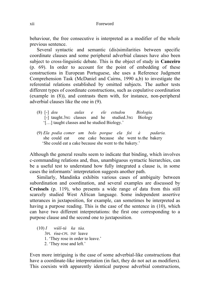behaviour, the free consecutive is interpreted as a modifier of the whole previous sentence.

Several syntactic and semantic (dis)similarities between specific coordinate clauses and some peripheral adverbial clauses have also been subject to cross-linguistic debate. This is the object of study in **Canceiro** (p. 69). In order to account for the point of embedding of these constructions in European Portuguese, she uses a Reference Judgment Comprehension Task (McDaniel and Cairns, 1990 a,b) to investigate the referential relations established by omitted subjects. The author tests different types of coordinate constructions, such as copulative coordination (example in (8)), and contrasts them with, for instance, non-peripheral adverbial clauses like the one in (9).

- (8) [-] *deu aulas e ele estudou Biologia.* [-] taught.3SG classes and he studied.3SG Biology '[…] taught classes and he studied Biology.'
- (9) *Ela podia comer um bolo porque ela foi à padaria.* she could eat one cake because she went to.the bakery 'She could eat a cake because she went to the bakery.'

Although the general results seem to indicate that binding, which involves c-commanding relations and, thus, unambiguous syntactic hierarchies, can be a useful test to understand how fully integrated a clause is, in some cases the informants' interpretation suggests another path.

Similarly, Mandinka exhibits various cases of ambiguity between subordination and coordination, and several examples are discussed by **Creissels** (p. 119), who presents a wide range of data from this still scarcely studied West African language. Some independent assertive utterances in juxtaposition, for example, can sometimes be interpreted as having a purpose reading. This is the case of the sentence in (10), which can have two different interpretations: the first one corresponding to a purpose clause and the second one to juxtaposition.

(10) *I wúlí-tá ka táa.* 3PL rise-CPL INF leave 1. 'They rose in order to leave.' 2. 'They rose and left.'

Even more intriguing is the case of some adverbial-like constructions that have a coordinate-like interpretation (in fact, they do not act as modifiers). This coexists with apparently identical purpose adverbial constructions,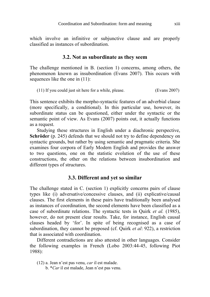which involve an infinitive or subjunctive clause and are properly classified as instances of subordination.

#### **3.2. Not as subordinate as they seem**

The challenge mentioned in B. (section 1) concerns, among others, the phenomenon known as insubordination (Evans 2007). This occurs with sequences like the one in  $(11)$ :

(11) If you could just sit here for a while, please. (Evans 2007)

This sentence exhibits the morpho-syntactic features of an adverbial clause (more specifically, a conditional). In this particular use, however, its subordinate status can be questioned, either under the syntactic or the semantic point of view. As Evans (2007) points out, it actually functions as a request.

Studying these structures in English under a diachronic perspective, **Schröder** (p. 245) defends that we should not try to define dependency on syntactic grounds, but rather by using semantic and pragmatic criteria. She examines four corpora of Early Modern English and provides the answer to two questions, one on the statistic evolution of the use of these constructions, the other on the relations between insubordination and different types of structures.

### **3.3. Different and yet so similar**

The challenge stated in C. (section 1) explicitly concerns pairs of clause types like (i) adversative/concessive clauses, and (ii) explicative/causal clauses. The first elements in these pairs have traditionally been analysed as instances of coordination, the second elements have been classified as a case of subordinate relations. The syntactic tests in Quirk *et al.* (1985), however, do not present clear results. Take, for instance, English causal clauses headed by 'for'. In spite of being recognised as a case of subordination, they cannot be preposed (cf. Quirk *et al*: 922), a restriction that is associated with coordination.

Different contradictions are also attested in other languages. Consider the following examples in French (Lobo 2003:44-45, following Piot 1988):

- (12) a. Jean n'est pas venu, *car* il est malade.
	- b. \**Car* il est malade, Jean n'est pas venu.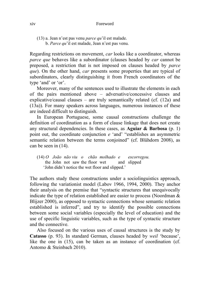(13) a. Jean n'est pas venu *parce qu*'il est malade. b. *Parce qu*'il est malade, Jean n'est pas venu.

Regarding restrictions on movement, *car* looks like a coordinator, whereas *parce que* behaves like a subordinator (clauses headed by *car* cannot be preposed, a restriction that is not imposed on clauses headed by *parce que*). On the other hand, *car* presents some properties that are typical of subordinators, clearly distinguishing it from French coordinators of the type 'and' or 'or'.

Moreover, many of the sentences used to illustrate the elements in each of the pairs mentioned above – adversative/concessive clauses and explicative/causal clauses – are truly semantically related (cf.  $(12a)$ ) and (13a)). For many speakers across languages, numerous instances of these are indeed difficult to distinguish.

In European Portuguese, some causal constructions challenge the definition of coordination as a form of clause linkage that does not create any structural dependencies. In these cases, as **Aguiar & Barbosa** (p. 1) point out, the coordinate conjunction *e* 'and' "establishes an asymmetric semantic relation between the terms conjoined" (cf. Blühdorn 2008), as can be seen in (14).

(14) *O João não viu o chão molhado e escorregou.* the John not saw the floor wet and slipped 'John didn't notice the wet floor and slipped.'

The authors study these constructions under a sociolinguistics approach, following the variationist model (Labov 1966, 1994, 2000). They anchor their analysis on the premise that "syntactic structures that unequivocally indicate the type of relation established are easier to process (Noordman  $\&$ Blijzer 2000), as opposed to syntactic connections whose semantic relation established is inferred", and try to identify the possible connections between some social variables (especially the level of education) and the use of specific linguistic variables, such as the type of syntactic structure and the connective.

Also focused on the various uses of causal structures is the study by **Catasso** (p. 93). In standard German, clauses headed by *weil* 'because', like the one in (15), can be taken as an instance of coordination (cf. Antomo & Steinbach 2010).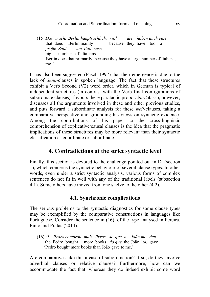(15) *Das macht Berlin hauptsächlich, weil die haben auch eine* that does Berlin mainly because they have too a  $\frac{\text{arode } Z \text{ahl}}{\text{arode } Z \text{ahl}}$  von Italienern  *große Zahl von Italienern.* big number of Italians 'Berlin does that primarily, because they have a large number of Italians, too.'

It has also been suggested (Pasch 1997) that their emergence is due to the lack of *denn*-clauses in spoken language. The fact that these structures exhibit a Verb Second (V2) word order, which in German is typical of independent structures (in contrast with the Verb final configurations of subordinate clauses), favours these paratactic proposals. Catasso, however, discusses all the arguments involved in these and other previous studies, and puts forward a subordinate analysis for these *weil*-clauses, taking a comparative perspective and grounding his views on syntactic evidence. Among the contributions of his paper to the cross-linguistic comprehension of explicative/causal clauses is the idea that the pragmatic implications of these structures may be more relevant than their syntactic classification as coordinate or subordinate.

# **4. Contradictions at the strict syntactic level**

Finally, this section is devoted to the challenge pointed out in D. (section 1), which concerns the syntactic behaviour of several clause types. In other words, even under a strict syntactic analysis, various forms of complex sentences do not fit in well with any of the traditional labels (subsection 4.1). Some others have moved from one shelve to the other (4.2).

#### **4.1. Synchronic complications**

The serious problems to the syntactic diagnostics for some clause types may be exemplified by the comparative constructions in languages like Portuguese. Consider the sentence in (16), of the type analysed in Pereira, Pinto and Pratas (2014):

(16) *O Pedro comprou mais livros do que o João me deu.*  the Pedro bought more books *do que* the João 1SG gave 'Pedro bought more books than João gave to me.'

Are comparatives like this a case of subordination? If so, do they involve adverbial clauses or relative clauses? Furthermore, how can we accommodate the fact that, whereas they do indeed exhibit some word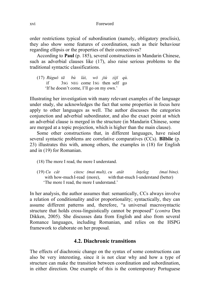xvi Foreword

order restrictions typical of subordination (namely, obligatory proclisis), they also show some features of coordination, such as their behaviour regarding ellipsis or the properties of their connectives?

According to **Paul** (p. 185), several constructions in Mandarin Chinese, such as adverbial clauses like (17), also raise serious problems to the traditional syntactic classifications.

(17) *Rúguǒ tā bù lái, wǒ jiù zìjǐ qù.*  if 3SG NEG come 1SG then self go 'If he doesn't come, I'll go on my own.'

Illustrating her investigation with many relevant examples of the language under study, she acknowledges the fact that some properties in focus here apply to other languages as well. The author discusses the categories conjunction and adverbial subordinator, and also the exact point at which an adverbial clause is merged in the structure (in Mandarin Chinese, some are merged at a topic projection, which is higher than the main clause).

Some other constructions that, in different languages, have raised several syntactic problems are correlative comparatives (CCs). **Bîlbîie** (p. 23) illustrates this with, among others, the examples in (18) for English and in (19) for Romanian.

- (18) The more I read, the more I understand.
- (19) *Cu cât citesc (mai mult), cu atât înțeleg (mai bine).* with how-much I-read (more), with that-much I-understand (better) 'The more I read, the more I understand.'

In her analysis, the author assumes that: semantically, CCs always involve a relation of conditionality and/or proportionality; syntactically, they can assume different patterns and, therefore, "a universal macrosyntactic structure that holds cross-linguistically cannot be proposed" (*contra* Den Dikken, 2005). She discusses data from English and also from several Romance languages, including Romanian, and relies on the HSPG framework to elaborate on her proposal.

#### **4.2. Diachronic transitions**

The effects of diachronic change on the syntax of some constructions can also be very interesting, since it is not clear why and how a type of structure can make the transition between coordination and subordination, in either direction. One example of this is the contemporary Portuguese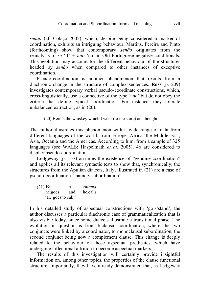*senão* (cf. Colaço 2005), which, despite being considered a marker of coordination, exhibits an intriguing behaviour. Martins, Pereira and Pinto (forthcoming) show that contemporary *senão* originates from the reanalysis of *se* 'if' *+ não* 'no' in Old Portuguese negative conditionals. This evolution may account for the different behaviour of the structures headed by *senão* when compared to other instances of exceptive coordination.

Pseudo-coordination is another phenomenon that results from a diachronic change in the structure of complex sentences. **Ross** (p. 209) investigates contemporary verbal pseudo-coordinate constructions, which, cross-linguistically, use a connective of the type 'and' but do not obey the criteria that define typical coordination. For instance, they tolerate unbalanced extraction, as in (20).

(20) Here's the whiskey which I went (to the store) and bought.

The author illustrates this phenomenon with a wide range of data from different languages of the world: from Europe, Africa, the Middle East, Asia, Oceania and the Americas. According to him, from a sample of 325 languages (see WALS: Haspelmath *et al*. 2005), 46 are considered to display pseudo-coordination.

**Ledgeway** (p. 157) assumes the existence of "genuine coordination" and applies all its relevant syntactic tests to show that, synchronically, the structures from the Apulian dialects, Italy, illustrated in (21) are a case of pseudo-coordination, "namely subordination".

(21) *Va a chiama.* he.goes and he.calls 'He goes to call.'

In his detailed study of aspectual constructions with 'go'/'stand', the author discusses a particular diachronic case of grammaticalization that is also visible today, since some dialects illustrate a transitional phase. The evolution in question is from biclausal coordination, where the two conjuncts were linked by a coordinator, to monoclausal subordination, the second conjunct being now a complement clause. This change is deeply related to the behaviour of those aspectual predicates, which have undergone inflectional attrition to become aspectual markers.

The results of this investigation will certainly provide insightful information on, among other topics, the properties of the clause functional structure. Importantly, they have already demonstrated that, as Ledgeway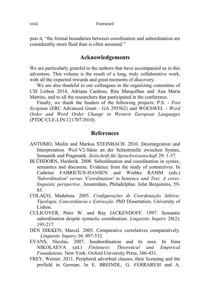puts it, "the formal boundaries between coordination and subordination are considerably more fluid than is often assumed."

# **Acknowledgements**

We are particularly grateful to the authors that have accompanied us in this adventure. This volume is the result of a long, truly collaborative work, with all the expected rewards and great moments of discovery.

We are also thankful to our colleagues in the organizing committee of CSI Lisbon 2014, Adriana Cardoso, Rita Marquilhas and Ana Maria Martins, and to all the researchers that participated in the conference.

Finally, we thank the funders of the following projects: P.S. - *Post Scriptum* (ERC Advanced Grant - GA 295562) and WOChWEL - *Word Order and Word Order Change in Western European Languages* (PTDC/CLE-LIN/121707/2010).

# **References**

- ANTOMO, Mailin and Markus STEINBACH. 2010. Desintegration und Interpretation. *Weil*-V2-Sätze an der Schnittstelle zwischen Syntax, Semantik und Pragmatik. *Zeitschrift für Sprachwissenschaft* 29: 1-37.
- BLÜHDORN, Hardarik. 2008. Subordination and coordination in syntax, semantics and discourse. Evidence from the study of connectives. In Cathrine FABRICIUS-HANSEN and Wiebke RAMM (eds.) *'Subordination' versus 'Coordination' in Sentence and Text. A crosslinguistic perspective*. Amsterdam, Philadelphia: John Benjamins, 59- 85.
- COLAÇO, Madalena. 2005. *Configurações de Coordenação Aditiva: Tipologia, Concordância e Extracção*. PhD Dissertation. University of Lisbon.
- CULICOVER, Peter W. and Ray JACKENDOFF. 1997. Semantic subordination despite syntactic coordination. *Linguistic Inquiry* 28(2): 195-217.
- DEN DIKKEN, Marcel. 2005. Comparative correlatives comparatively. *Linguistic Inquiry* 36: 497-532.
- EVANS, Nicolas. 2007. Insubordination and its uses. In Irina NIKOLAEVA (ed.) *Finiteness*: *Theoretical and Empirical Foundations*. New York: Oxford University Press, 366-431.
- FREY, Werner. 2011. Peripheral adverbial clauses, their licensing and the prefield in German. In E. BREINDL, G. FERRARESI and A.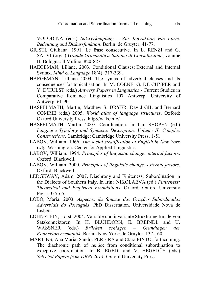VOLODINA (eds.) *Satzverknüpfung – Zur Interaktion von Form, Bedeutung und Diskursfunktion*. Berlin: de Gruyter, 41-77.

- GIUSTI, Giuliana. 1991. Le frase consecutive. In L. RENZI and G. SALVI (orgs.) *Grande Grammatica Italiana di Consultazione*, volume II. Bologna: Il Mulino, 820-827.
- HAEGEMAN, Liliane. 2003. Conditional Clauses: External and Internal Syntax. *Mind & Language* 18(4): 317-339.
- HAEGEMAN, Lilliane. 2004. The syntax of adverbial clauses and its consequences for topicalisation. In M. COENE, G. DE CUYPER and Y. D'HULST (eds.) *Antwerp Papers in Linguistics* - Current Studies in Comparative Romance Linguistics 107 Antwerp: University of Antwerp, 61-90.
- HASPELMATH, Martin, Matthew S. DRYER, David GIL and Bernard COMRIE (eds.) 2005. *World atlas of language structures*. Oxford: Oxford University Press. http://wals.info/.
- HASPELMATH, Martin. 2007. Coordination. In Tim SHOPEN (ed.) *Language Typology and Syntactic Description. Volume II: Complex Constructions*. Cambridge: Cambridge University Press, 1-51.
- LABOV, William. 1966. *The social stratification of English in New York City*. Washington: Center for Applied Linguistics.
- LABOV, William. 1994. *Principles of linguistic change: internal factors*. Oxford: Blackwell.
- LABOV, William. 2000. *Principles of linguistic change: external factors*. Oxford: Blackwell.
- LEDGEWAY, Adam. 2007. Diachrony and Finiteness: Subordination in the Dialects of Southern Italy. In Irina NIKOLAEVA (ed.) *Finiteness: Theoretical and Empirical Foundations*. Oxford: Oxford University Press, 335-65.
- LOBO, Maria. 2003. *Aspectos da Sintaxe das Orações Subordinadas Adverbiais do Português*. PhD Dissertation. Universidade Nova de Lisboa.
- LOHNSTEIN, Horst. 2004. Variable und invariante Strukturmerkmale von Satzkonnektoren. In H. BLÜHDORN, E. BREINDL and U. WASSNER (eds.) *Brücken schlagen – Grundlagen der Konnektorensemantik.* Berlin, New York: de Gruyter, 137-160.
- MARTINS, Ana Maria, Sandra PEREIRA and Clara PINTO. forthcoming. The diachronic path of *senão*: from conditional subordination to exceptive coordination. In B. EGEDI and V. HEGEDŰS (eds.) *Selected Papers from DIGS 2014*. Oxford University Press.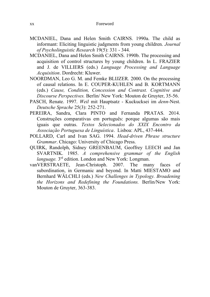- MCDANIEL, Dana and Helen Smith CAIRNS. 1990a. The child as informant: Eliciting linguistic judgments from young children. *Journal of Psycholinguistic Research* 19(5): 331 - 344.
- MCDANIEL, Dana and Helen Smith CAIRNS. 1990b. The processing and acquisition of control structures by young children. In L. FRAZIER and J. de VILLIERS (eds.) *Language Processing and Language Acquisition*. Dordrecht: Kluwer.
- NOORDMAN, Leo G. M. and Femke BLIJZER. 2000. On the processing of causal relations. In E. COUPER-KUHLEN and B. KORTMANN (eds.) *Cause, Condition, Concession and Contrast. Cognitive and Discourse Perspectives.* Berlin/ New York: Mouton de Gruyter, 35-56.
- PASCH, Renate. 1997. *Weil* mit Hauptsatz Kuckucksei im *denn*-Nest. *Deutsche Sprache* 25(3): 252-271.
- PEREIRA, Sandra, Clara PINTO and Fernanda PRATAS. 2014. Construções comparativas em português: porque algumas são mais iguais que outras. *Textos Selecionados do XXIX Encontro da Associação Portuguesa de Linguística*. Lisboa: APL, 437-444.
- POLLARD, Carl and Ivan SAG. 1994. *Head-driven Phrase structure Grammar*. Chicago: University of Chicago Press.
- QUIRK, Randolph, Sidney GREENBAUM, Geoffrey LEECH and Jan SVARTNIK. 1985. *A comprehensive grammar of the English*  language. 3<sup>rd</sup> edition. London and New York: Longman.
- vanVERSTRAETE, Jean-Christoph. 2007. The many faces of subordination, in Germanic and beyond. In Matti MIESTAMO and Bernhard WÄLCHLI (eds.) *New Challenges in Typology. Broadening the Horizons and Redefining the Foundations.* Berlin/New York: Mouton de Gruyter, 363-383.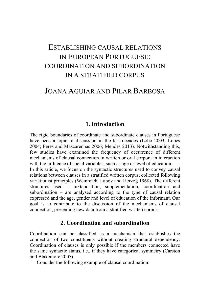# ESTABLISHING CAUSAL RELATIONS IN EUROPEAN PORTUGUESE: COORDINATION AND SUBORDINATION IN A STRATIFIED CORPUS

# JOANA AGUIAR AND PILAR BARBOSA

#### **1. Introduction**

The rigid boundaries of coordinate and subordinate clauses in Portuguese have been a topic of discussion in the last decades (Lobo 2003; Lopes 2004; Peres and Mascarenhas 2006; Mendes 2013). Notwithstanding this, few studies have examined the frequency of occurrence of different mechanisms of clausal connection in written or oral corpora in interaction with the influence of social variables, such as age or level of education.

In this article, we focus on the syntactic structures used to convey causal relations between clauses in a stratified written corpus, collected following variationist principles (Weinreich, Labov and Herzog 1968). The different structures used – juxtaposition, supplementation, coordination and subordination – are analysed according to the type of causal relation expressed and the age, gender and level of education of the informant. Our goal is to contribute to the discussion of the mechanisms of clausal connection, presenting new data from a stratified written corpus.

# **2. Coordination and subordination**

Coordination can be classified as a mechanism that establishes the connection of two constituents without creating structural dependency. Coordination of clauses is only possible if the members connected have the same syntactic status, i.e., if they have categorical symmetry (Carston and Blakemore 2005).

Consider the following example of clausal coordination: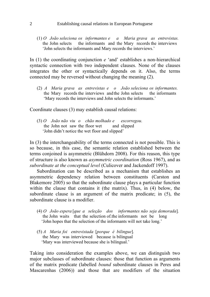#### 2 Establishing causal relations in European Portuguese

(1) *O João seleciona os informantes e a Maria grava as entrevistas.* the John selects the informants and the Mary records the interviews 'John selects the informants and Mary records the interviews.'

In (1) the coordinating conjunction *e* 'and' establishes a non-hierarchical syntactic connection with two independent clauses. None of the clauses integrates the other or syntactically depends on it. Also, the terms connected may be reversed without changing the meaning (2).

(2) *A Maria grava as entrevistas e o João seleciona os informantes.* the Mary records the interviews and the John selects the informants 'Mary records the interviews and John selects the informants.'

Coordinate clauses (3) may establish causal relations:

(3) *O João não viu o chão molhado e escorregou.* the John not saw the floor wet and slipped 'John didn't notice the wet floor and slipped'

In (3) the interchangeability of the terms connected is not possible. This is so because, in this case, the semantic relation established between the terms conjoined is asymmetric (Blühdorn 2008). For this reason, this type of structure is also known as *asymmetric coordination* (Ross 1967), and as *subordinate at the conceptual level* (Culicover and Jackendoff 1997).

Subordination can be described as a mechanism that establishes an asymmetric dependency relation between constituents (Carston and Blakemore 2005) so that the subordinate clause plays a particular function within the clause that contains it (the matrix). Thus, in (4) below, the subordinate clause is an argument of the matrix predicate; in (5), the subordinate clause is a modifier.

- (4) *O João espera* [*que a seleção dos informantes não seja demorada*]*.* the John waits that the selection of.the informants not be long 'John hopes that the selection of the informants will not take long.'
- (5) *A Maria foi entrevistada* [*porque é bilingue*]*.* the Mary was interviewed because is bilingual 'Mary was interviewed because she is bilingual.'

Taking into consideration the examples above, we can distinguish two major subclasses of subordinate clauses: those that function as arguments of the matrix predicate (labelled *bound* subordinate clauses in Peres and Mascarenhas (2006)) and those that are modifiers of the situation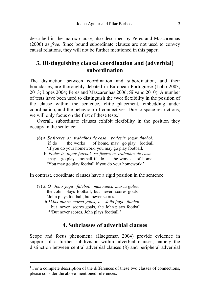described in the matrix clause, also described by Peres and Mascarenhas (2006) as *free*. Since bound subordinate clauses are not used to convey causal relations, they will not be further mentioned in this paper.

# **3. Distinguishing clausal coordination and (adverbial) subordination**

The distinction between coordination and subordination, and their boundaries, are thoroughly debated in European Portuguese (Lobo 2003, 2013; Lopes 2004; Peres and Mascarenhas 2006; Silvano 2010). A number of tests have been used to distinguish the two: flexibility in the position of the clause within the sentence, clitic placement, embedding under coordination, and the behaviour of connectives. Due to space restrictions, we will only focus on the first of these tests.<sup>1</sup>

Overall, subordinate clauses exhibit flexibility in the position they occupy in the sentence:

- (6) a. *Se fizeres os trabalhos de casa, podesir jogar futebol*. if do the works of home, may go play football 'If you do your homework, you may go play football.'
	- b. *Podes ir jogar futebol se fizeres os trabalhos de casa.* may go play football if do the works of home 'You may go play football if you do your homework.'

In contrast, coordinate clauses have a rigid position in the sentence:

- (7) a. *O João joga futebol, mas nunca marca golos.* the John plays football, but never scores goals 'John plays football, but never scores.' b.*\*Mas nunca marca golos, o João joga futebol.*
	- but never scores goals, the John plays football \*'But never scores, John plays football.'

l

### **4. Subclasses of adverbial clauses**

Scope and focus phenomena (Haegeman 2004) provide evidence in support of a further subdivision within adverbial clauses, namely the distinction between central adverbial clauses (8) and peripheral adverbial

<sup>&</sup>lt;sup>1</sup> For a complete description of the differences of these two classes of connections, please consider the above-mentioned references.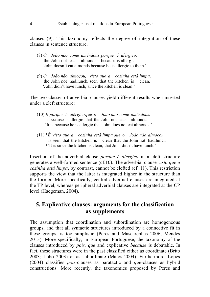clauses (9). This taxonomy reflects the degree of integration of these clauses in sentence structure.

- (8) *O João não come amêndoas porque é alérgico.* the John not eat almonds because is allergic 'John doesn't eat almonds because he is allergic to them.'
- (9) *O João não almoçou, visto que a cozinha está limpa*. the John not had.lunch, seen that the kitchen is clean. 'John didn't have lunch, since the kitchen is clean.'

The two classes of adverbial clauses yield different results when inserted under a cleft structure:

- (10) *É porque é alérgico que o João não come amêndoas.* is because is allergic that the John not eats almonds. 'It is because he is allergic that John does not eat almonds.'
- (11) \**É visto que a cozinha está limpa que o João não almoçou.* is seen that the kitchen is clean that the John not had.lunch \*'It is since the kitchen is clean, that John didn't have lunch.'

Insertion of the adverbial clause *porque é alérgico* in a cleft structure generates a well-formed sentence (cf.10). The adverbial clause *visto que a cozinha está limpa*, by contrast, cannot be clefted (cf. 11). This restriction supports the view that the latter is integrated higher in the structure than the former. More specifically, central adverbial clauses are integrated at the TP level, whereas peripheral adverbial clauses are integrated at the CP level (Haegeman, 2004).

# **5. Explicative clauses: arguments for the classification as supplements**

The assumption that coordination and subordination are homogeneous groups, and that all syntactic structures introduced by a connective fit in these groups, is too simplistic (Peres and Mascarenhas 2006; Mendes 2013). More specifically, in European Portuguese, the taxonomy of the clauses introduced by *pois, que* and explicative *because* is debatable. In fact, these structures were in the past classified either as coordinate (Brito 2003; Lobo 2003) or as subordinate (Matos 2004). Furthermore, Lopes (2004) classifies *pois-*clauses as paratactic and *que-*clauses as hybrid constructions. More recently, the taxonomies proposed by Peres and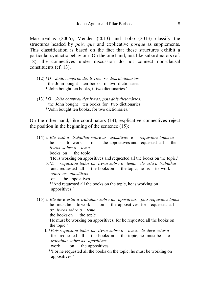Mascarenhas (2006), Mendes (2013) and Lobo (2013) classify the structures headed by *pois, que* and explicative *porque* as supplements. This classification is based on the fact that these structures exhibit a particular syntactic behaviour. On the one hand, just like subordinators (cf. 18), the connectives under discussion do not connect non-clausal constituents (cf. 13).

- (12) \**O João comprou dez livros, se dois dicionários.* the John bought ten books, if two dictionaries \*'John bought ten books, if two dictionaries.'
- (13) \**O João comprou dez livros, pois dois dicionários.* the John bought ten books, for two dictionaries \*'John bought ten books, for two dictionaries.'

On the other hand, like coordinators (14), explicative connectives reject the position in the beginning of the sentence  $(15)$ :

(14) a. *Ele está a trabalhar sobre as apositivas e requisitou todos os* he is to work on the appositives and requested all the *livros sobre o tema.* books on the topic

'He is working on appositives and requested all the books on the topic.'

b.*\*E requisitou todos os livros sobre o tema, ele está a trabalhar*  and requested all the books on the topic, he is to work *sobre as apositivas.*

on the appositives

\*'And requested all the books on the topic, he is working on appositives.'

(15) a. *Ele deve estar a trabalhar sobre as apositivas, pois requisitou todos* he must be to work on the appositives, for requested all *os livros sobre o tema.*

the books on the topic

'He must be working on appositives, for he requested all the books on the topic.'

b.\**Pois requisitou todos os livros sobre o tema, ele deve estar a* for requested all the books on the topic, he must be to *trabalhar sobre as apositivas*.

work on the appositives

\*'For he requested all the books on the topic, he must be working on appositives.'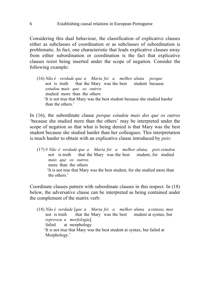Considering this dual behaviour, the classification of explicative clauses either as subclasses of coordination or as subclasses of subordination is problematic. In fact, one characteristic that leads explicative clauses away from either subordination or coordination is the fact that explicative clauses resist being inserted under the scope of negation. Consider the following example:

(16) *Não é verdade que a Maria foi a melhor aluna porque* not is truth that the Mary was the best student because *estudou mais que os outros.* studied more than the others 'It is not true that Mary was the best student because she studied harder than the others.'

In (16), the subordinate clause *porque estudou mais dos que os outros* 'because she studied more than the others' may be interpreted under the scope of negation so that what is being denied is that Mary was the best student because she studied harder than her colleagues. This interpretation is much harder to obtain with an explicative clause introduced by *pois*:

(17) # *Não é verdade que a Maria foi a melhor aluna, pois estudou* not is truth that the Mary was the best student, for studied *mais que os outros.* more than the others 'It is not true that Mary was the best student, for she studied more than the others.'

Coordinate clauses pattern with subordinate clauses in this respect. In (18) below, the adversative clause can be interpreted as being contained under the complement of the matrix verb:

(18) *Não é verdade* [*que a Maria foi a melhor aluna a sintaxe, mas* not is truth that the Mary was the best student at syntax, but *reprovou a morfologia*]*.* failed at morphology 'It is not true that Mary was the best student at syntax, but failed at Morphology.'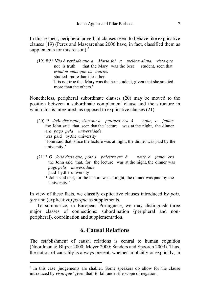In this respect, peripheral adverbial clauses seem to behave like explicative clauses (19) (Peres and Mascarenhas 2006 have, in fact, classified them as supplements for this reason). $<sup>2</sup>$ </sup>

(19) *#/?? Não é verdade que a Maria foi a melhor aluna*, *visto que* not is truth that the Mary was the best student, seen that *estudou mais que os outros*. studied more than the others 'It is not true that Mary was the best student, given that she studied more than the others.'

Nonetheless, peripheral subordinate clauses (20) may be moved to the position between a subordinate complement clause and the structure in which this is integrated, as opposed to explicative clauses  $(21)$ .

- (20) *O João disse que, visto que a palestra era à noite, o jantar* the John said that, seen that the lecture was at.the night, the dinner *era pago pela universidade*. was paid by.the university 'John said that, since the lecture was at night, the dinner was paid by the university.'
- (21) \* *O João disse que, pois a palestra era à noite, o jantar era* the John said that, for the lecture was at.the night, the dinner was *pago pela universidade*.

paid by.the university

l

\*'John said that, for the lecture was at night, the dinner was paid by the University.'

In view of these facts, we classify explicative clauses introduced by *pois*, *que* and (explicative) *porque* as supplements.

To summarize, in European Portuguese, we may distinguish three major classes of connections: subordination (peripheral and nonperipheral), coordination and supplementation.

### **6. Causal Relations**

The establishment of causal relations is central to human cognition (Noordman & Blijzer 2000; Meyer 2000; Sanders and Spooren 2009). Thus, the notion of causality is always present, whether implicitly or explicitly, in

<sup>&</sup>lt;sup>2</sup> In this case, judgements are shakier. Some speakers do allow for the clause introduced by *visto que* 'given that' to fall under the scope of negation.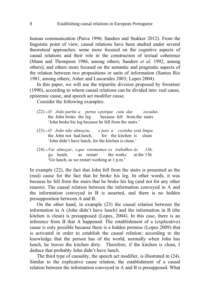human communication (Paiva 1996; Sanders and Stukker 2012). From the linguistic point of view, causal relations have been studied under several theoretical approaches: some more focused on the cognitive aspects of causal relations and their role in the construction of textual coherence (Mann and Thompson 1986, among others; Sanders *et al*. 1992, among others); and others more focused on the semantic and pragmatic aspects of the relation between two propositions or units of information (Santos Río 1981, among others; Asher and Lascarides 2003; Lopes 2004).

In this paper, we will use the tripartite division proposed by Sweetser (1990), according to whom causal relations can be divided into: real cause, epistemic cause, and speech act modifier cause.

Consider the following examples:

- (22) <sup>A</sup> *O João partiu a perna* <sup>B</sup> *porque caiu das escadas*. the John broke the leg because fell from.the stairs 'John broke his leg because he fell from the stairs.'
- (23) <sup>A</sup> *O João não almoçou*, <sup>B</sup> *pois a cozinha está limpa*. the John not had.lunch, for the kitchen is clean 'John didn't have lunch, for the kitchen is clean.'
- (24) <sup>A</sup> *Vai almoçar*, <sup>B</sup> *que retomamos os trabalhos às 13h*. go lunch, as restart the works at.the 13h 'Go lunch, as we restart working at 1 p.m.'

In example (22), the fact that John fell from the stairs is presented as the (real) cause for the fact that he broke his leg. In other words, it was because he fell from the stairs that he broke his leg (and not for any other reason). The causal relation between the information conveyed in A and the information conveyed in B is asserted, and there is no hidden presupposition between A and B.

On the other hand, in example (23) the causal relation between the information in A (John didn't have lunch) and the information in B (the kitchen is clean) is presupposed (Lopes, 2004). In this case, there is an inference from B that A happened. The establishment of a (explicative) cause is only possible because there is a hidden premise (Lopes 2009) that is activated in order to establish the causal relation: according to the knowledge that the person has of the world, normally when John has lunch, he leaves the kitchen dirty. Therefore, if the kitchen is clean, I deduce that probably John didn't have lunch.

The third type of causality, the speech act modifier, is illustrated in (24). Similar to the explicative cause relation, the establishment of a causal relation between the information conveyed in A and B is presupposed. What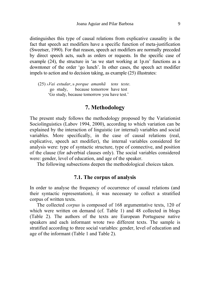distinguishes this type of causal relations from explicative causality is the fact that speech act modifiers have a specific function of meta-justification (Sweetser, 1990). For that reason, speech act modifiers are normally preceded by direct speech acts, such as orders or requests. In the specific case of example (24), the structure in 'as we start working at 1p.m' functions as a downtoner of the order 'go lunch'. In other cases, the speech act modifier impels to action and to decision taking, as example (25) illustrates:

(25) A*Vai estudar*, <sup>B</sup> *porque amanhã tens teste*. go study, because tomorrow have test 'Go study, because tomorrow you have test.'

#### **7. Methodology**

The present study follows the methodology proposed by the Variationist Sociolinguistics (Labov 1994, 2000), according to which variation can be explained by the interaction of linguistic (or internal) variables and social variables. More specifically, in the case of causal relations (real, explicative, speech act modifier), the internal variables considered for analysis were: type of syntactic structure, type of connective, and position of the clause (for adverbial clauses only). The social variables considered were: gender, level of education, and age of the speaker.

The following subsections deepen the methodological choices taken.

#### **7.1. The corpus of analysis**

In order to analyse the frequency of occurrence of causal relations (and their syntactic representation), it was necessary to collect a stratified corpus of written texts.

The collected *corpus* is composed of 168 argumentative texts, 120 of which were written on demand (cf. Table 1) and 48 collected in blogs (Table 2). The authors of the texts are European Portuguese native speakers and each informant wrote two different texts. The sample is stratified according to three social variables: gender, level of education and age of the informant (Table 1 and Table 2).